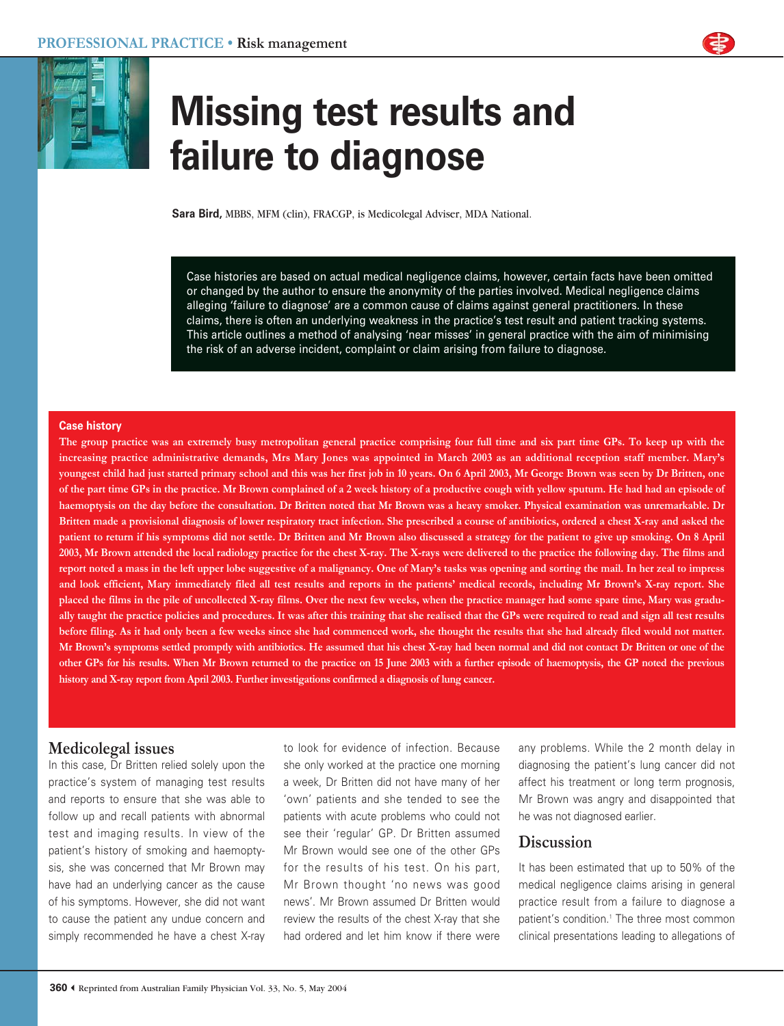



# **Missing test results and failure to diagnose**

**Sara Bird,** MBBS, MFM (clin), FRACGP, is Medicolegal Adviser, MDA National.

Case histories are based on actual medical negligence claims, however, certain facts have been omitted or changed by the author to ensure the anonymity of the parties involved. Medical negligence claims alleging 'failure to diagnose' are a common cause of claims against general practitioners. In these claims, there is often an underlying weakness in the practice's test result and patient tracking systems. This article outlines a method of analysing 'near misses' in general practice with the aim of minimising the risk of an adverse incident, complaint or claim arising from failure to diagnose.

## **Case history**

**The group practice was an extremely busy metropolitan general practice comprising four full time and six part time GPs. To keep up with the increasing practice administrative demands, Mrs Mary Jones was appointed in March 2003 as an additional reception staff member. Mary's youngest child had just started primary school and this was her first job in 10 years. On 6 April 2003, Mr George Brown was seen by Dr Britten, one of the part time GPs in the practice. Mr Brown complained of a 2 week history of a productive cough with yellow sputum. He had had an episode of haemoptysis on the day before the consultation. Dr Britten noted that Mr Brown was a heavy smoker. Physical examination was unremarkable. Dr Britten made a provisional diagnosis of lower respiratory tract infection. She prescribed a course of antibiotics, ordered a chest X-ray and asked the patient to return if his symptoms did not settle. Dr Britten and Mr Brown also discussed a strategy for the patient to give up smoking. On 8 April 2003, Mr Brown attended the local radiology practice for the chest X-ray. The X-rays were delivered to the practice the following day. The films and report noted a mass in the left upper lobe suggestive of a malignancy. One of Mary's tasks was opening and sorting the mail. In her zeal to impress and look efficient, Mary immediately filed all test results and reports in the patients' medical records, including Mr Brown's X-ray report. She placed the films in the pile of uncollected X-ray films. Over the next few weeks, when the practice manager had some spare time, Mary was gradually taught the practice policies and procedures. It was after this training that she realised that the GPs were required to read and sign all test results before filing. As it had only been a few weeks since she had commenced work, she thought the results that she had already filed would not matter. Mr Brown's symptoms settled promptly with antibiotics. He assumed that his chest X-ray had been normal and did not contact Dr Britten or one of the other GPs for his results. When Mr Brown returned to the practice on 15 June 2003 with a further episode of haemoptysis, the GP noted the previous history and X-ray report from April 2003. Further investigations confirmed a diagnosis of lung cancer.**

# **Medicolegal issues**

In this case, Dr Britten relied solely upon the practice's system of managing test results and reports to ensure that she was able to follow up and recall patients with abnormal test and imaging results. In view of the patient's history of smoking and haemoptysis, she was concerned that Mr Brown may have had an underlying cancer as the cause of his symptoms. However, she did not want to cause the patient any undue concern and simply recommended he have a chest X-ray to look for evidence of infection. Because she only worked at the practice one morning a week, Dr Britten did not have many of her 'own' patients and she tended to see the patients with acute problems who could not see their 'regular' GP. Dr Britten assumed Mr Brown would see one of the other GPs for the results of his test. On his part, Mr Brown thought 'no news was good news'. Mr Brown assumed Dr Britten would review the results of the chest X-ray that she had ordered and let him know if there were

any problems. While the 2 month delay in diagnosing the patient's lung cancer did not affect his treatment or long term prognosis, Mr Brown was angry and disappointed that he was not diagnosed earlier.

# **Discussion**

It has been estimated that up to 50% of the medical negligence claims arising in general practice result from a failure to diagnose a patient's condition.<sup>1</sup> The three most common clinical presentations leading to allegations of